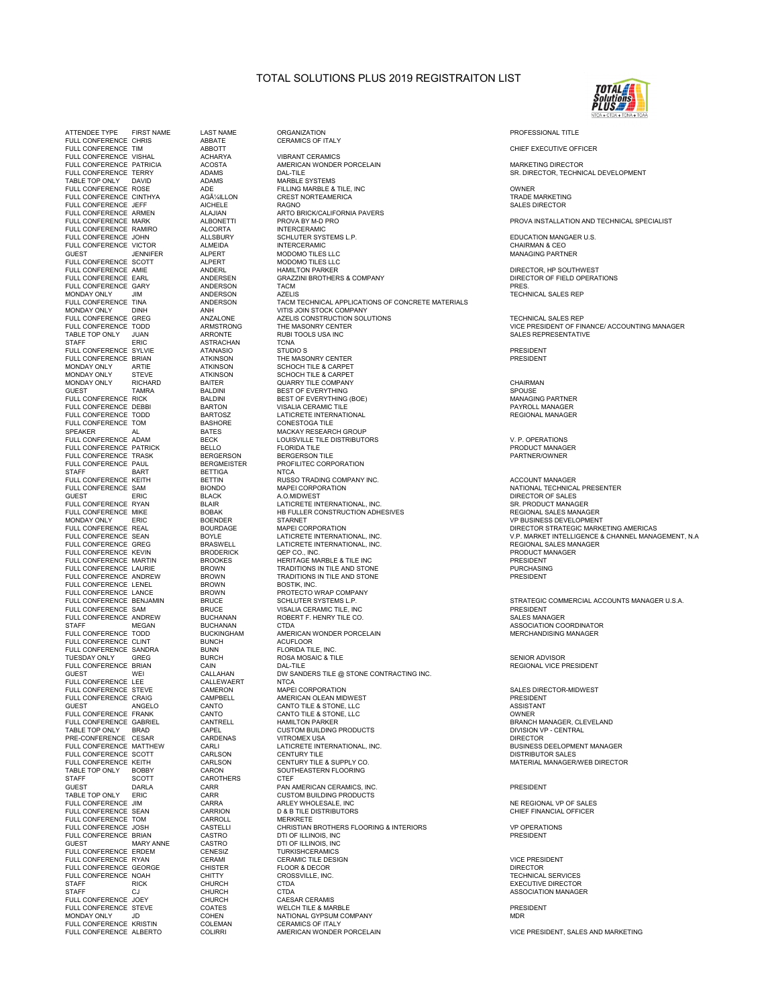## TOTAL SOLUTIONS PLUS 2019 REGISTRAITON LIST



FULL CONFERENCE VISHAL ACHARYA VIBRANT CERAMICS TABLE TOP ONLY DAVID<br>FULL CONFERENCE ROSE FULL CONFERENCE ARMEN ALAJIAN ARTO BRICK/CALIFORNIA PAVERS FULL CONFERENCE RAMIRO ALCORTA<br>FULL CONFERENCE JOHN ALLSBURY<br>FULL CONFERENCE VICTOR ALMEIDA FULL CONFERENCE SCOTT ALPERT MODOMO TILES LLC<br>FULL CONFERENCE AME ANDERL HAMILTON PARKER MUNDAY UNLY DINH AND ANN VITIS JUIN STUCK CUMPANY<br>FULL CONFERENCE GREG ANZALONE AZELIS CONSTRUCTION SOLUTIONS<br>FULL CONFERENCE TODD ARMSTRONG THE MASONRY CENTER TO ONLY THE TOP ONLY THE ARRONTE TO RUBI TOOLS USA INC.<br>TABLE TOP ONLY JUAN ARRONTE RUBI TOOLS USA INC.<br>STAFF ERIC ASTRACHAN TCNA MONDAY ONLY ARTIE ATKINSON SCHOCH TILE & CARPET<br>MONDAY ONLY STEVE ATKINSON SCHOCH TILE & CARPET FULL CONFERENCE TODD<br>FULL CONFERENCE TOM BASHOR<br>SPEAKER AL BASHORE CONFERENCE ADAM BECK<br>FULL CONFERENCE PATRICK BELLO<br>FULL CONFERENCE PATRICK BELLO SPEAKER AL BATES MACKAY RESEARCH GROUP STAFF BART BETTIGA<br>FULL CONFERENCE KEITH BETTIN FULL CONFERENCE LENEL BROWN BOSTIK, INC.<br>FULL CONFERENCE LENEL BROWN BOSTIK, INC.<br>FULL CONFERENCE BENJAMIN BRUCE SCHLUTER SYSTEMS L.P. FULL CONFERENCE LENCE<br>FULL CONFERENCE LANCE BROWN<br>FULL CONFERENCE BENJAMIN BRUCE FULL CONFERENCE ANDREW BUCHANAN ROBERT FULL CONFERENCE AND REVISION BUCHANAN ROBERT FOR THE SALES MANAGEMENT S<br>STAFF MEGAN BUCHANAN CTDA FULL CONFERENCE CLINT BUNCH ACUFLOOR FULL CONFERENCE SANDRA BUNN FLORIDA TILE, INC. TUES ON TEXTILE SANDRAY TO BURCH BURCH BURCH PLUS AND TUES INC.<br>TUESDAY ONLY GREG BRIAN CAIN BURCH BURCH SANG BALLTILE FULL CONFERENCE LIET THE CALLEWAN<br>FULL CONFERENCE LEE CALLEWAERT FULL CONFERENCE CRAIG CAMPBELL<br>FULL CONFERENCE CRAIG CAMPBELL GUEST ANGELO CANTO<br>FULL CONFERENCE FRANK CANTO<br>FULL CONFERENCE GABRIEL CANTRELL FULL CONFERENCE MATTIMENT CARLSON CENTURY TILE<br>FULL CONFERENCE SCOTT CARLSON CENTURY TILE & SUPPLY CONTERENCE KEITH CARLSON CENTURY TILE & SUPPLY CO TABLE TOP ONLY BOBBY CARON SOUTHEASTERN FLOORING TABLE TOP ONLY BOBBY CARD<br>
STAFF SCOTT CARO<br>
GUEST DARLA CARR SULT ONLY ERIC CARR CUSTOM BUILDING PRODUCTS<br>
FULL CONFERENCE JIM CARRA ARLEY WHOLESALE, INC<br>
FULL CONFERENCE SEAN CARRION D& B TILE DISTRIBUTORS FULL CONFERENCE JOEY<br>FULL CONFERENCE STEVE COATES<br>MONDAY ONLY JD COHEN

ATTENDEE TYPE FIRST NAME LAST NAME ORGANIZATION PROFESSIONAL TITLE FULL CONFERENCE CHRIS ABBATE CERAMICS OF ITALY FULL CONFERENCE TIM ABBOTT CHIEF EXECUTIVE OFFICER FULL CONFERENCE PATRICIA ACOSTA AMERICAN WONDER PORCELAIN MARKETING DIRECTOR FULL CONFERENCE TERRY AND THE CONFERENCE TERRY ADAMS ADAMS DAL-TILE CONFERENCE TERRY AND SALE OF SALE OF SALE O<br>ADAMS MARBLE SYSTEMS FUCTION THAT MARTIC SYSTEMS<br>ADAMS FILLING MARBLE & TILE, INC<br>AGAMILLON CREST NORTEAMERICA ON TRADE TRADE MARKETING<br>AICHELE RAGNO RAGNO FULL CONFERENCE CINTHYA AGüILLON CREST NORTEAMERICA TRADE MARKETING FULL CONFERENCE JEFF AICHELE RAGNO SALES DIRECTOR FULL CONFERENCE MARK ALBONETTI PROVA BY M-D PRO PROVA INSTALLATION AND TECHNICAL SPECIALIST FULL CONFERENCE JOHN ALLSBURY SCHLUTER SYSTEMS L.P. EDUCATION MANGAER U.S. FULL CONFERENCE VICTOR ALMEIDA INTERCERAMIC CHAIRMAN & CEO GUEST JENNIFER ALPERT MODOMO TILES LLC MANAGING PARTNER - ANDERL THE MUNICIPAL CONFERENCE ARE AND THE CONFERENCE AMOUNT ON THE DIRECTOR, HP SOUTHWEST<br>The Second Conference and Conference and the Second Parker of the Director of FIELD OPERATIONS FULL CONFERENCE EARL ANDERSEN GRAZZINI BROTHERS & COMPANY DIRECTOR OF FIELD OPERATIONS FULL CONFERENCE GARY ANDERSON TACM PRES. MONDAY ONLY JIM ANDERSON AZELIS TECHNICAL SALES REP FULL CONFERENCE TINA ANDERSON TACM TECHNICAL APPLICATIONS OF CONCRETE MATERIALS MONDAY ONLY DINH ANH VITIS JOIN STOCK COMPANY FULL CONFERENCE TODD ARMSTRONG THE MASONRY CENTER VICE PRESIDENT OF FINANCE/ ACCOUNTING MANAGER STAFF ERIC ASTRACHAN TCNA FULL CONFERENCE SYLVIE ATANASIO STUDIO S PRESIDENT FULL CONFERENCE BRIAN ATKINSON THE MASONRY CENTER CONFERENCE BRIAN PRESIDENT THE MASONRY CENTER PRESIDENT PRESIDENT<br>THE MONDAY ONLY ARTIE ATKINSON SCHOCH TILE & CARPET MONDAY ONLY STEVE ATKINSON SCHOCH TILE & CARPET MONDAY ONLY RICHARD BAITER QUARRY TILE COMPANY CHAIRMAN GUEST TAMRA BALDINI BEST OF EVERYTHING SPOUSE FULL CONFERENCE RICK BALL CONFERENCE RICHARDINI BEST OF EVERYTHING (BOE) MANAGING PARTNER FULL CONFERENCE TRINING BALLONI BEST OF EVERYTHING (BOE)<br>
FULL CONFERENCE DEBBI BARTON VISALIA CERAMIC TILE<br>
FULL CONFERENCE TODO BARTOSZ LATIORETE INTERNATIONAL<br>
FULL CONFERENCE TOM BARTOSZ LATIORETE INTERNATIONAL<br>
FULL C FULL CONFERENCE TO SHOW THE TODD BARTOSAL MACKAY RESEARCH GROUP<br>LOUISVILLE TILE DISTRIBUTORS<br>FLORIDA TILE DISTRIBUTORS VAN ASSAMENT DISTRIBUTOR DISTRIBUTORS PRODUCT MANAGER FULL CONFERENCE PATRICK BELLO FLORIDA TILE PRODUCT MANAGER FULL CONFERENCE TRASK BERGERSON BERGERSON TILE PARTNER/OWNER FULL CONFERENCE PAUL BERGMEISTER PROFILITEC CORPORATION FULL CONFERENCE CONFERENCE CONFERENCE CONFERENCE ACCOUNT MANAGER<br>
FULL CONFERENCE RUSSO TRADING COMPANY INC.<br>
BIONDO MAPEI CORPORATION MAPEI CORPORATION FULL CONFERENCE SAM BIONDO MAPEI CORPORATION NATIONAL TECHNICAL PRESENTER ON THE SALES CONFERENCE SAM BIONDO MAPEI CORPORATION<br>
GUEST FULL CONFERENCE RYAN BLAIR A.O.MIDINEST INTERNATIONAL INC.<br>
FULL CONFERENCE RYAN BLAIR B GUEST ERIC BLACK A.O.MIDWEST DIRECTOR OF SALES FULL CONFERENCE RYAN BLAIR LATICRETE INTERNATIONAL, INC. SR. PRODUCT MANAGER FULL CONFERENCE NICH<br>
FULL CONFERENCE MIKE BOBAK BOENDER STARNET<br>
HB FULLER CONSTRUCTION ADHESIVES<br>
FULL CONFERENCE REAL BOURDAGE MAPEI CORPORATION<br>
FULL CONFERENCE REAL BOURDAGE MAPEI CORPORATION MONDAY HE PULLER CONSTRUCTION ADHESIVES<br>BOBAK STARNET STARNET STARNET START OF BUSINESS DEVELOPMENT<br>BOURDAGE MAPEI CORPORATION FULL CONFERENCE REAL BOURDAGE MAPEI CORPORATION DIRECTOR STRATEGIC MARKETING AMERICAS FULL CONFERENCE SEAN BOOKLE HAT LATICRETE INTERNATIONAL, INC.<br>FULL CONFERENCE GREG BRASWELL LATICRETE INTERNATIONAL, INC. THE REGIONAL SALES MANAGER PRODUCT MANAGER<br>FULL CONFERENCE KEVIN BROOKES QEP CO., INC. PRESIDENT PRO FULL CONFERENCE KEVIN BRODERICK QEP CO., INC. PRODUCT MANAGER FULL CONFERENCE MARTIN BROOKES HERITAGE MARBLE & TILE INC PRESIDENT FULL CONFERENCE LAURIE BROWN TRADITIONS IN TILE AND STONE PURCHASING FULL CONFERENCE ANDREW BROWN TRADITIONS IN TILE AND STONE PRESIDENT FULL CONFERENCE BENJAMIN BRUCE SCHLUTER SYSTEMS L.P. SCHLUTER SYSTEMS LOCKER STRATEGIC COMMERCIAL ACCOUNTS MANAGER U.S.A.<br>STRATEGIC SAM BRUCE SAM BRUCE STRAMIC TILE INC FULL CONFERENCE FULL CONFERENCE SALES IN THE SERVICE SALES MANAGER BUCHANAN ROBERT F. HENRY TILE CO.  ${\small \begin{array}{c} \text{BUCHANAN} \\ \text{BUCHANHAM} \end{array}}$   ${\small \begin{array}{c} \text{ANSOCIATION CORDINATOR} \\ \text{MERCHANDISING MANAGER} \end{array}}$ FULL<br>AMERICAN WONDER PORCELAIN<br>ACUFLOOR<br>FLORIDA TILE, INC. FUNCH FUNCH ROSA MOSAIC & TILE<br>
CAIN DAL-TILE DAL-TILE DAL-TILE CAIN DAL-TILE CAIN DAL-TILE<br>
CAILAHAN DAL-TILE DESTONE CONTRACTING INC.<br>
CALLEWAERT NTCA NTCA -----<br>DW SANDERS TILE @ STONE CONTRACTING INC.<br>NTCA FULL CONFERENCE STEVE CAMERON MAPEI CORPORATION SALES DIRECTOR-MIDWEST TO THE RELIGION OF THE CONFERENCE CAMERON THE MAPEI CORPORATION THE RESIDENCE CONFERENCE CAMERON MAPEI CORPORATION<br>FULL CONFERENCE CRAIG CAMPBELL AMERICAN OLEAN MIDWEST<br>GIFST ANGELO CANTO CANTO CANTO CANTO TILE & STONE LIC GAUNT BELL ANGELO CANTO TILE & STONE, LLC<br>CANTO CANTO CANTO TILE & STONE, LLC OUCH ANOLL CONFERENCE GANTO CANTO CANTO TILE & STONE, LLC<br>FULL CONFERENCE GABRIEL CANTRELL HAMILTON PARKER HAMILTON DESCRIPTION BRANCH MANAGER, CLEVELAND<br>TABLE TOP ONLY BRAD CAPEL CONTRELL HAMILTON BUILDING PRODUCTS TO THE TABLE TOP ONLY BRAD CAPEL CUSTOM BUILDING PRODUCTS<br>PRE-CONFERENCE CESAR CARDENAS VITROMEXIUSA CUSTOM BUILDING PRODUCTS DIVISION VP<br>PRE-CONFERENCE CESAR CARDENAS VITROMEXIUSA PRE-CONFERENCE CESAR CARDENAS VITROMEX USA DIRECTOR FULL CONFERENCE MATTHEW CARLI LATICRETE INTERNATIONAL, INC. BUSINESS DEELOPMENT MANAGER FULL CONFERENCE CONFERENCE CONFERENCE AND CENTURY TILE<br>
FULL CONFERENCE CONFERENCE CONFERENCE CONFERENCE CONFERENCE CONFERENCE CONFERENCE CONFERENCE CONFERENCE CONFERENCE CONFERENCE CONFERENCE CONFERENCE CONFERENCE CONFERE GUEST DARLA CARR PAN AMERICAN CERAMICS, INC. PRESIDENT FULL CONFERENCE JIM CARRA ARLEY WHOLESALE, INC NE REGIONAL VP OF SALES FULL CONFERENCE SEAN CARRION D & B TILE DISTRIBUTORS CHIEF FINANCIAL OFFICER FULL CONFERENCE TOM CARROLL MERKRETE FULL CONFERENCE JOSH CASTELLI CHRISTIAN BROTHERS FLOORING & INTERIORS VP OPERATIONS FULL CONFERENCE BRIAN CASTRO DTI OF ILLINOIS, INC PRESIDENT GUEST MARY ANNE CASTRO DTI OF ILLINOIS, INC<br>FULL CONFERENCE ERDEM CENESIZ TURKISHCERAMICS<br>FULL CONFERENCE RYAN CERAMI CERAMIC TILE DESIGN<br>FULL CONFERENCE GEORGE CHISTER FLOOR & DECOR FULL CONFERENCE NOAH CHITTY CROSSVILLE, INC.<br>FULL CONFERENCE NOAH CHITTY CROSSVILLE, INC. TECHNICAL SERVICES<br>STAFF RICK CHURCH CTDA STAFF RICK CHURCH CTDA EXECUTIVE DIRECTOR FULL CONFERENCE STEVE COATES WELCH TILE & MARBLE PRESIDENT MONDAY ONLY JD COHEN NATIONAL GYPSUM COMPANY MDR FULL CONFERENCE KRISTIN COLEMAN CERAMICS OF ITALY

FULL CONFERENCE SEAN BOYLE AT A BOYLE LATION BOYLE AT A VEH AND THE UNIT CONFERENCE & CHANNEL MANAGEMENT, N.A

STAFF CJ CHURCH CTDA ASSOCIATION MANAGER

VICE PRESIDENT, SALES AND MARKETING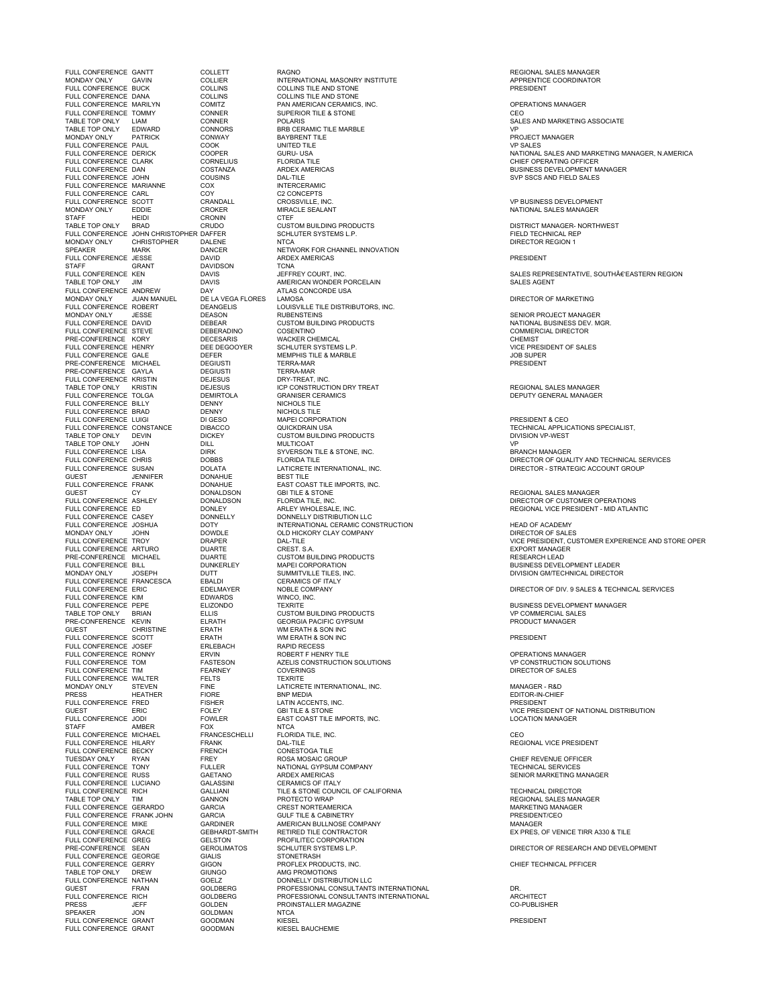FULL CONFERENCE GANTT COLLETT RAGNO REGIONAL SALES MANAGER MONDAY ONLY GAVIN COLLIER INTERNATIONAL MASONRY INSTITUTE APPRENTICE COORDINATOR FULL CONFERENCE DOOR<br>FULL CONFERENCE DANA COLLINS<br>FULL CONFERENCE MARILYN COMITZ FULL CONFERENCE TOMMY CONNER<br>TABLE TOP ONLY LIAM CONNER<br>TABLE TOP ONLY EDWARD CONNORS FULL CONFERENCE TRUE COOPER<br>FULL CONFERENCE DERICK COOPER<br>FULL CONFERENCE CLARK CORNELIUS FLORIDA TILE<br>FULL CONFERENCE DAN COSTANZA ARDEX AMERICAS on the theory of the cross of the cross of the cross of the cross of the cross of the cross of the cross of th<br>STAFF HEIDI CRONIN CTEF CREDIT CRONING CREDIT CONSTOM BUILDING PRODUCTS STAFF GRANT DAVIDSON TCNA FULL CONFERENCE CHILISTIN DEJESUS<br>
TABLE TOP ONLY KRISTIN DEJESUS<br>
TABLE TOP ONLY KRISTIN DEJESUS FULL CONFERENCE TOLGA<br>
FULL CONFERENCE BILLY<br>
FULL CONFERENCE BILLY<br>
FULL CONFERENCE BIRAD<br>
DENNY MICHOLS TILE<br>
FULL CONFERENCE LUIGI<br>
DENNY NICHOLS TILE<br>
FULL CONFERENCE LUIGI<br>
DENNY NICHOLS TILE<br>
NICHOLS TILE<br>
NAPEI CORP GUEST JENNIFIER DOWNT GUEST CY<br>FULL CONFERENCE ASHLEY FULL CONFERENCE CONSUMING THE CONFERENCE CASEY<br>
FULL CONFERENCE CASEY DONNELLY DONNELLY DISTRIBUTION LLC<br>
FULL CONFERENCE JOSHUA<br>
MONDAY ONLY JOHN DOVY<br>
MONDAY DONNELLY DISTRIBUTION LCC<br>
MONDAY ONLY JOHN DOWDLE<br>
FULL CONFE FULL CONFERENCE BILL CONFERENCE DUTITY AND MAPPLICONTOUR CONFERENCE CONFERENCE CONFERENCE CONFERENCE DUTITY SUMMITVILLE TILL<br>
FULL CONFERENCE FRANCESCA EBALDI CERAMICS OF ITALIAN EDUL CONFERENCE ERIC EDUARDY NOBLE COMPANY<br> FULL CONFERENCE FRIC TO THE BOELMAYER NOBLE CHARD TO THE RESERVED TO THE RESERVED TO THE RESERVED TO THE RESERVED TO THE RESERVED TO THE RESERVED TO THE RESERVED TO THE RESERVED TO THE RESERVED TO THE RESERVED TO THE RESER FULL CONFERENCE HILARY FRAN<br>FULL CONFERENCE BECKY FRENT<br>TUESDAY ONLY RYAN FREY<br>FULL CONFERENCE TONY FULL<br>FULL CONFERENCE RUSS GAET FULL CONFERENCE LUCIANO GALASSINI<br>FULL CONFERENCE RICH GALLIANI FRE-CONFERENCE SEAN GEROLIMATOS SCHLUTER SYSTEMS L.P.<br>FULL CONFERENCE GEORGE GIALIS STONETRASH<br>FULL CONFERENCE GEORGE GIALIS STONETRASH<br>TABLE TOP ONLY DREW GIONGO AMG PROMOTIONS FULL CONFERENCE NATHAN CIUNGO AMG PROMOTIONS<br>FULL CONFERENCE NATHAN GOELZ DONNELLY DISTRIBUTION LLC<br>GUEST DONNELLY DISTRIBUTION LAGER PROFESSIONAL CONSULTANT<br>FULL CONFERENCE RICH GOLDBERG PROFESSIONAL CONSULTANT FULL CONFERENCE GRANT

SPEAKER SPEAKER JON GOLDMAN NTCANNING SPEAKER IN STREET AND SPEAKER AND SPEAKER AND SPEAKER AND SPEAKER AND SP<br>The Speaker of Goldman Speaker and Speaker and Speaker and Speaker and Speaker and Speaker and Speaker and Spea

FULL CONFERENCE BUCK COLLINS COLLINS TILE AND STONE PRESIDENT FULL THE MARILY CONFERENCE MARILY CONFERENCE MARILE CONTROL COMITZ<br>CONITZ THE PAN AMERICAN CERAMICS, INC. OPERATIONS OF THE RESIDENCE ON THE RESIDENCE ON THE STONE THAT AND RESIDENCE ON THE RESIDENCE OF THE RESIDENCE OF TH TABLE TOP OF A THE RESOURCE TO A THE SALES AND MARKETING ASSOCIATE<br>CONNER TO POLARIS THE MARBLE TO A THE SALES AND MARKETING ASSOCIATE<br>CONNORS TORB CERAMIC TILE MARBLE CONNER FOLARIS CONNER CONNORS BRB CERAMIC TILE MARBLE CONNORS BRB CERAMIC TILE MARBLE CONNORS BRB CERAMIC TILE<br>CONNORS BRB CERAMIC TILE MARBLE CONNORS CONNORS BAVENGER CONNORS BANAGER CONNORS BANAGER CONNORS MONDAY ONLY PATRICK CONWAY BAYBRENT TILE PROJECT MANAGER FULL CONFERENCE PAUL COOK UNITED TILE VP SALES FULL CONFERENCE DAN COSTANZA ARDEX AMERICAS BUSINESS DEVELOPMENT MANAGER FULL CONFERENCE JOHN COUSINS DAL-TILE SVP SSCS AND FIELD SALES FULL CONFERENCE MARIANNE COX INTERCERAMIC FULL CONFERENCE CARL COY C2 CONCEPTS FULL CONFERENCE SCOTT CRANDALL CROSSVILLE, INC. VP BUSINESS DEVELOPMENT MONDAY ONLY EDDIE CROKER MIRACLE SEALANT NATIONAL SALES MANAGER TABLE TOP ONLY BRAD CRUDO CUSTOM BUILDING PRODUCTS DISTRICT MANAGER- NORTHWEST FULL CONFERENCE JOHN CHRISTOPHER DAFFER SCHLUTER SYSTEMS L.P. SANTENIS ARE SEND TECHNICAL REP ANNO 1999 EN SAN<br>MONDAY ONLY CHRISTOPHER DALENE NTCA NTCA NTCA SENDER SENDER SOM TO DIRECTOR REGION 1 SPEAKER MARK DANCER MARK DANCER INNOVATION<br>SPEAKER MARK DANCER NETWORK FOR CHANNEL INNOVATION<br>FULL CONFERENCE JESSE DAVID ARDEX AMERICAS FULL CONFERENCE JESSE DAVID ARDEX AMERICAS PRESIDENT TABLE TO THE TOP ONLY SERVED ONLY SERVED ONLY SAME PORCELL BUSINESS AND ANNOUNCE USALE ONLY A TLAS CONCORDE USA FULL CONFERENCE ANDREW DAY ATLAS CONCORDE USA MONDAY ONLY JUAN MANUEL DE LA VEGA FLORES LAMOSA DIRECTOR OF MARKETING FULL CONFERENCE ROBERT DEANGELIS LOUISVILLE TILE DISTRIBUTORS, INC.<br>
FULL CONFERENCE ROBERT DEANGELIS LOUISVILLE TILE DISTRIBUTORS, INC.<br>
FULL CONFERENCE DAVID DEBEAR CUSTOM BUILDING PRODUCTS MONDANISM MONDANISM ENGINEERING MONDANISM (NOT DEASON SENIOR PROJECT MANAGER<br>DEASON RUBENSTEINS (SENIOR PRODUCTS SENIOR DEASON DEASON SUSINESS DEV. M FULL CONFERENCE DAVID DEBEAR CUSTOM BUILDING PRODUCTS NATIONAL BUSINESS DEV. MGR. FULL CONFERENCE STEVE DEBERADINO COSENTINO COMMERCIAL DIRECTOR PRE-CONFERENCE KORY DECESARIS WACKER CHEMICAL CHEMIST FOR THE MONETARY THE MANUSCRIPT OF THE RECONFERENCE HENRY DECESARIS WACKER CHEMICAL<br>FULL CONFERENCE HENRY DEE DEGOOYER SCHLUTER SYSTEMS L.P. (VICE PRESIDENT OF SALES<br>FULL CONFERENCE GALE DEE DEGOOYER MEMPINS TIERRA-MAR<br>PRE FULL CONFERENCE GALE DEFER MEMPHIS TILE & MARBLE JOB SUPER PRE-CONFERENCE MICHAEL DEGIUSTI TERRA-MAR PRESIDENT PRE-CONFERENCE GAYLA DEGIUSTI TERRA-MAR DEJESUS THE THE TRIVE TO THE TRIVE OF THE DEJECT ON THE DEJECT ON DRY-TREAT , INC.<br>DEJESUS ICP CONSTRUCTION DRY TREAT REGIONAL SALES MANAGER<br>DENINY GENERAL MANAGER CERAMICS<br>DENNY DEPUTY GENERAL MANAGER FULL CONFERENCE TO CONFERENCE TO A CONFERENCE TO A CONFERENCE TO DEPUTY GENERAL MANAGER<br>DEPUTY GENERAL MANAGER<br>DENNY NICHOLS TILE FULL CONFERENCE BRAD DENNY NICHOLS TILE FULL CONFERENCE LUIGI DI GESO MAPEI CORPORATION PRESIDENT & CEO FULL CONFERENCE CONFERENCE CONFERENCE CONFERENCE CONSTANCE CONSTANCE DIBACCO CONSTANCE OUTCOMES ON THE CHNICAL APPLICATIONS SPECIALIST,<br>DICKEY CUSTOM BUILDING PRODUCTS TO THE CHNICAL APPLICATIONS SPECIALIST, TABLE TOP ONLY DEVIN DICKEY CUSTOM BUILDING PRODUCTS DIVISION VP-WEST TABLE TOP ONLY JOHN DILL MULTICOAT VP TABLE TOP ONLY JOHN DILL DULL MULTICOAT<br>FULL CONFERENCE LISA DIRK SYVERSON TILE & STONE, INC. BRANCH MANAGER<br>FULL CONFERENCE CHRIS DOBBS FLORIDA TILE & STONE, INC. BRANCH MANAGER OF QUAL FULL CONFERENCE SUSAN DOLATA LATICRETE INTERNATIONAL, INC.<br>JENNIFER DONAHUE BEST TILE FULL CONFERENCE FRANK DONAHUE<br>FULL COAST TILE IMPORTS, INC.<br>DONALDSON GBI TILE IMPORTS, INC.<br>DONALDSON GEORIDA TILE, INC. FULL CONFERENCE ASHLEY DONALDSON GBITILE & STONE<br>FULL CONFERENCE ASHLEY DONALDSON FLORIDA TILE, INC.<br>FULL CONFERENCE ADDINER DONALDSON FLORIDA TILE, INC.<br>FULL CONFERENCE CASEY DONNELLY ARLEY MONNELLY DISTRIBUTION LLC<br>FULL FULL CONFERENCE JOSHUA DOTY INTERNATIONAL CERAMIC CONSTRUCTION HEAD OF ACADEMY<br>MONDAY ONLY JOHN DOWDLE OLD HICKORY CLAY COMPANY DIRECTOR OF SALES FULL CONFERENCE ARTURO DUARTE CREST. S.A. EXPORT MANAGER PRE-CONFERENCE MICHAEL DUARTE CUSTOM BUILDING PRODUCTS RESEARCH LEAD FULL CONFERENCE ARTURO<br>
FULL CONFERENCE ARTURO<br>
PRE-CONFERENCE MICHAEL DUARTE CUSTOM BUILDING PRODUCTS<br>
FULL CONFERENCE BILL MARTE DUARTE CUSTOM BUILDING PRODUCTS<br>
MONDAY ONLY JOSEPH DUTT SUMMITVILLE TILES, INC.<br>
FULL CONF MONDE THE MONDE THE SUMMITVILLE TILES, INC.<br>
DIVISION GM/TECHNICAL DIRECTOR<br>
CERAMICS OF ITALY FULL CONFERENCE ERIC EDELMAYER NOBLE COMPANY DIRECTOR OF DIV. 9 SALES & TECHNICAL SERVICES TO THE REPORT OF THE RELIZONDO TEXRITE<br>TABLE TOP ONLY BRIAN ELIZONDO TEXRITE CONFORMENT BUSINESS DEVELOPMENT MANAGER<br>TABLE TOP PRODUCT MANAGER PRESENT BUSINESS DESCRIPTION OF THE REPORT OF A PRODUCT MANAGER<br>PRE-CONFERENCE TABLE TOP ONLY BRIAN ELLIS CUSTOM BUILDING PRODUCTS VP COMMERCIAL SALES PRE-CONFERENCE KEVIN ELRATH GEORGIA PACIFIC GYPSUM PRODUCT MANAGER GUEST CHRISTINE ERATH WM ERATH & SON INC FULL CONFERENCE SCOTT ERATH WM ERATH & SON INC PRESIDENT FULL CONFERENCE JOSEF ERLEBACH RAPID RECESS FULL CONFERENCE RONNY ERVIN ROBERT F HENRY TILE OPERATIONS MANAGER THE CONFERENCE TOM THE TRACTESON THE RELIS CONSTRUCTION SOLUTIONS<br>FULL CONFERENCE TIM FASTESON COVERINGS CONSTRUCTION SOLUTIONS THE RELIS ON THE CONSTRUCTION SOLUTIONS<br>FULL CONFERENCE TIM FEARNEY COVERINGS FULL CONFERENCE TIM FEARNEY COVERINGS DIRECTOR OF SALES FULL CONFERENCE WALTER FELTS TEXRITE NOLL IN THE TRANSPORT OF THE TRANSPORT OF THE LATICRETE INTERNATIONAL, INC.<br>PRESS THE FINE FINE TRANSPORT BY BRIT MEDIA TO BE RESIDENT HE RESIDENT OF THE RED FOR THE LATICRE RED DON'T CH<br>FULL CONFERENCE FRED FISHER IATIN A PRESS HEATHER FIORE BNP MEDIA EDITOR-IN-CHIEF FULL CONFERENCE FRED FISHER LATIN ACCENTS, INC. PRESIDENT GUEST THE FINITE PRODUCT THE RESIDENT OF THE RESIDENT OF THE RESIDENT OF NATIONAL DISTRIBUTION<br>GUEST THE RESIDENT OF THE RESIDENT OF THE RESIDENT OF NATIONAL DISTRIBUTION<br>FULL CONFERENCE JODI FOWLER EAST COAST TILE IMPORTS FOLLEY GBITILE & STONE<br>FOWLER EAST COAST TILE IMPORTS, INC.<br>FOX<br>FRANCESCHELLI FLORIDA TILE, INC. STAFF AMBER FOX NTCA FULL CONFERENCE MICHAEL FRANCESCHELLI FLORIDA TILE, INC. CEO FULL CONFERENCE HILARY FRANK DAL-TILE REGIONAL VICE PRESIDENT TUESDAY ONLY RYAN FREY ROSA MOSAIC GROUP CHIEF REVENUE OFFICER FULL CONFERENCE TONY FULLER NATIONAL GYPSUM COMPANY TECHNICAL SERVICES FULL CONFERENCE RUSS GAETANO ARDEX AMERICAS SENIOR MARKETING MANAGER FULL CONFERENCE RICH GALLIANI TILE & STONE CONFERENCE RICH GALLIANI TILE & STONE COUNCIL OF COUNCIL OF COUNCIL<br>TILE & STONE COUNCIL OF CALIFORNIA TECHNICAL DIRECTOR<br>PROTECTO WRAP TABLE TOP ONLY TIM GANNON GANNON PROTECTO WRAP<br>FULL CONFERENCE GERARDO GARCIA CREST NORTEAMERICA CONFERIA DESIDENTIAL MARKETING MANAGER<br>FULL CONFERENCE FRANK JOHN GARCIA GULF TILE & CABINETRY FULL CONFERENCE MIKE GARDINER AMERICAN BULLNOSE COMPANY AMERICAN BULLNOSE COMPANY MANAGER<br>FULL CONFERENCE GRACE GEBHARDT-SMITH RETIRED TILE CONTRACTOR FULL CONFERENCE GRACE GEBHARDT-SMITH RETIRED TILE CONTRACTOR<br>FULL CONFERENCE GRACE GEBHARDT-SMITH RETIRED TILE CONTRACTOR<br>FULL CONFERENCE GREG GELSTON PROFILITEC CORPORATION SANDINICH CONFERENCIAL CONTRACTOR<br>GEBHARDT-SMITH RETIRED TILE CONTRACTOR<br>GELSTON PROFILITEC CORPORATION<br>GIALIS STONETRASH GIALIS PRE-CONFERENCE SEAN GEROLIMATOR SCHLUTER SYSTEMS L.P. DIRECTOR OF RESEARCH AND DEVELOPMENT GALLIS<br>GIALIS STONETRASH STONETRASH FULL CONFERENCE GERRY GIGON PROFLEX PRODUCTS, INC. CHIEF TECHNICAL PFFICER TABLE TOP ONLY DREW GIUNGO AMG PROMOTIONS GUEST FRAN GOLDBERG PROFESSIONAL CONSULTANTS INTERNATIONAL DR. FULL CONFERENCE RICH GOLDBERG PROFESSIONAL CONSULTANTS INTERNATIONAL ARCHITECT PRESS JEFF GOLDEN PROINSTALLER MAGAZINE CO-PUBLISHER FULL CONFERENCE GRANT COODMAN KIESEL AND HERESIDENT COODMAN KIESEL AND THE SIDENT PRESIDENT COODMAN KIESEL PRESIDENT

FULL CONFERENCE DERICK COOPER GURU- USA NATIONAL SALES AND MARKETING MANAGER, N.AMERICA

FULL COURT, INC. THE COURT, INC. SALES REPRESENTATIVE, SOUTH€'EASTERN REGION AN ERICON DAVIS SALES AGENT AND SALES AGENT

TO THE TRIVIAL CONFERENCE CHRIS TO DEBS TLORIDA TILE A CHANGE TO THE TRICTOR OF QUALITY AND TECHNICAL SERVICES<br>FULL CONFERENCE CHRIS DOBBS FLORIDA TILE INTERNATIONAL, INC. THE PORTOR OF QUALITY AND TECHNICAL SERVICES

REGIONAL VICE PRESIDENT - MID ATLANTIC

FULL CONFERENCE AND STRUCTURE TROOP OF TROOP OF TROOP OF TROOP OF TROOP OF TROOP OF TROOP OF TROOP OF TROOP OF<br>THE SERVICE OF TROOP OF TROOP OF THE SALE OF THE STORE OF THE SERVICE OF TROOP OF TROOP OF THE SERVICE OF THE <br>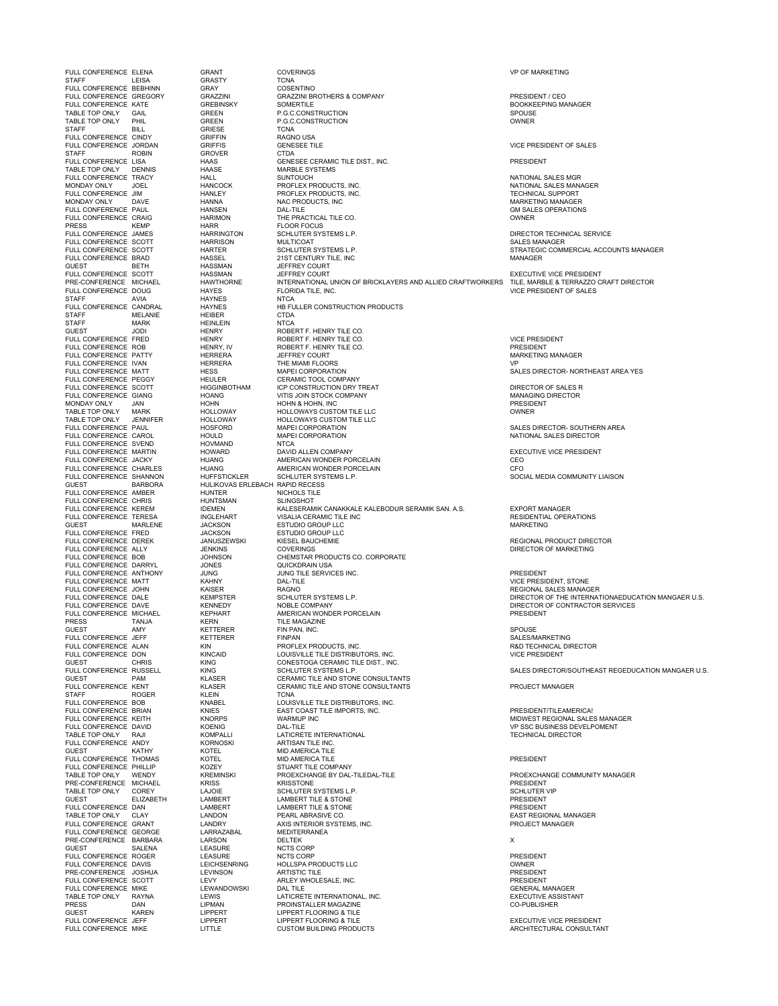STAFF LEISA GRASTY TCNA FULL CONFERENCE BEBHINN GRAY COSENTINO STAFF ROBIN GROVER CTDA TABLE TOP ONLY DENNIS HAASE MARBLE SYSTEMS PRESS KEMP HARR FLOOR FOCUS<br>FULL CONFERENCE JAMES HARRINGTON SCHLUTER SYSTEMS L.P. FULL CONFERENCE SCOTT FIARRINGTON SCHLUTER STSTEWS L.P.<br>FULL CONFERENCE SCOTT HARRISON MULTICOAT SCHLUTER SYSTEMS L.P. GUEST BETH HASSMAN JEFFREY COURT<br>FULL CONFERENCE SCOTT HASSMAN JEFFREY COURT<br>PRE-CONFERENCE MICHAEL HAWTHORNE INTERNATIONAL STAFF MARK HEINLEIN<br>GUEST JODI HENRY GUEST JODI HENRY ROBERT F. HENRY TILE CO. FULL CONFERENCE SVEND HOVMAND NTCA<br>FULL CONFERENCE MARTIN HOWARD DAVID ALLEN COMPANY FULL CONFERENCE AMBER HUNTER NICHOLS TILE FULL CONFERENCE CHRIS HUNTSMAN SLINGSHOT FULL CONFERENCE FRED JACKSON ESTUDIO GROUP LLC FULL CONFERENCE DARRYL JONES JONES QUICKLESS ON A LIGHT JUNG FULL CONFERENCE MATT KAHNY DAL-TILE VICE PRESIDENT, STONE STAFF ROGER RELIGION CONTRACT THE RELIGION CONTRACT CONTRACT THE RELIGION OF THE RELIGION CONTRACT CONTRACT CO<br>FULL CONFERENCE BOB FULL CONFERENCE ANDY KORNOSKI ARTISAN TILE INC. FULL CONFERENCE PHILLIP KOZEY<br>TABLE TOP ONLY WENDY KREMINSKI TABLE TOP ONLY CLAY LANDON PEARL ABRASIVE CONTRACT CLAY<br>
FULL CONFERENCE GRANT LANDRY

MELANIE HEIBER CTDA<br>
MARK HEINLEIN NTCA

FULL CONFERENCE ELENA GRANT COVERINGS VP OF MARKETING FULL CONFERENCE GREGORY GRAZZINI GRAZZINI BROTHERS & COMPANY PRESIDENT / CEO FULL CONFERENCE KATE GREBINSKY SOMERTILE BOOKKEEPING MANAGER TABLE TOP ONLY GAIL GREEN P.G.C.CONSTRUCTION SPOUSE TABLE TOP ONLY PHIL GREEN P.G.C.CONSTRUCTION CONSTRUCTION CONSTRUCTION CONSTRUCTION STAFF<br>FULL CONFERENCE CINDY GRIFFIN GRIFFIN RAGNO USA<br>FULL CONFERENCE JORDAN GRIFFIS GENESEE TILE GENESEE TILE THE STATE OF RESIDENT OF SALES FULL TIDE CONFERENCE TILE<br>FULL CONFERENCE CONFERENCE CONFERENCE CONFERENCE CONFERENCE CONFERENCE CONFERENCE PRESIDENT<br>FULL CONFERENCE MARBLE SYSTEMS FULL CONFERENCE TRACY HALL SUNTOUCH NATIONAL SALES MGR MONDAY ONLY JOEL HANCOCK PROFLEX PRODUCTS, INC. NATIONAL SALES MANAGER FULL CONFERENCE JIM HANLEY PROFLEX PRODUCTS, INC. TECHNICAL SUPPORT MONDAY ONLY DAVE HANNA NAC PRODUCTS, INC MARKETING MANAGER FULL CONFERENCE PAUL HANSEN DAL-TILE GM SALES OPERATIONS FULL CONFERENCE CRAIG HARIMON THE PRACTICAL TILE CO. OWNER FULL CONFERENCE JAMES HARRINGTON SCHLUTER SYSTEMS L.P. DIRECTOR TECHNICAL SERVICE FULL CONFERENCE SCOTT HARTER SCHLUTER SYSTEMS L.P. STRATEGIC COMMERCIAL ACCOUNTS MANAGER FULL CONFERENCE SCOTT THE HANTER STATISTICS INTERFERENCE IN THE BRAD BANK OF STATISTICS ON A STATISTICS OF STATISTICS ON A STATISTICS ON A STATISTICS OF STATISTICS ON A STATISTICS ON A STATISTIC ON A STATISTIC ON A STATIST FULL CONFERENCE SCOTT HASSMAN JEFFREY COURT EXECUTIVE VICE PRESIDENT PRE-CONFERENCE MICHAEL HAWTHORNE INTERNATIONAL UNION OF BRICKLAYERS AND ALLIED CRAFTWORKERS TILE, MARBLE & TERRAZZO CRAFT DIRECTOR FULL CONFERENCE DOUG HAYES FLORIDA TILE, INC. VICE PRESIDENT OF SALES STAFF AVIA HAYNES NTCA FULL CONFERENCE CANDRAL HAYNES HE FULLER CONSTRUCTION PRODUCTS<br>STAFF MELANIE HEIBER FULLER CONSTRUCTION PRODUCTS<br>STAFF MARK HEINLEIN NTCA FULL CONFERENCE FRED HENRY ROBERT F. HENRY TILE CO. VICE PRESIDENT FULL CONFERENCE ROB HENRY, IV ROBERT F. HENRY TILE CO. PRESIDENT TO THE CONFERENCE PATTY THERRERA TELL OURT THE CO.<br>FULL CONFERENCE PATTY HERRERA JEFFREY COURT THE MINIMITED ON THE MARKETING MANAGER<br>FULL CONFERENCE IVAN HERRERA THE MIAMI FLOORS FULL CONFERENCE IVAN FREERERA THE MIAMI FLOORS THE MIAMI FLOORS THE STATE OF THE MIAMI FLOORS THE STATE OF THE MIAMI FLOORS THE STATE OF THE STATE AND THE STATE A VESTILE ASSAIL TO A SALES DIRECTOR- NORTHEAST AREA VESTILE FULL CONFERENCE MATT HESS MAPEI CORPORATION SALES DIRECTOR- NORTHEAST AREA YES FULL CONFERENCE PEGGY HEULER CERAMIC TOOL COMPANY FULL CONFERENCE SCOTT HIGGINBOTHAM CP CONSTRUCTION DRY TREAT<br>FULL CONFERENCE GOOTT HIGGINBOTHAM UCP CONSTRUCTION DRY TREAT<br>MONDAY ONLY JAN HOHN HOHN HOT HOLD OF SALES RESIDENT MONDAVION DRY MANAGING DIRECTOR<br>MONDAY ONLY JA FULL CONFERENCE GIANG HOANG VITIS JOIN STOCK COMPANY MANAGING DIRECTOR MONDAY ONLY JAN HOHN HOHN & HOHN, INC PRESIDENT TABLE TOP ONLY MARK HOLLOWAY HOLLOWAYS CUSTOM TILE LLC OWNER TABLE TOP ONLY JENNIFER HOLLOWAY HOLLOWAYS CUSTOM TILE LLC FULL CONFERENCE PAUL THE RESERVED ON THE SERVED ON MAPEI CORPORATION SALES DIRECTOR-SOUTHERN AREA<br>FULL CONFERENCE CAROL THOULD MAPEI CORPORATION SALES DIRECTOR NATIONAL SALES DIRECTOR FUCT CONFERENCE CONFERENCE CONFERENCE CARD ON THE CONFERENCE CARD MAPEI CORPORATION<br>HOULD MAPEI CORPORATION<br>HOVMAND NTCA FULL CONFERENCE MARTIN THE HOWARD TO DAVID ALLEN COMPANY THE SECUTIVE ON THE EXECUTIVE VICE PRESIDENT THE SECUTIVE VICE PRESIDENT AND REALLY CONFERENCE MARTIN HOWARD AMERICAN WONDER PORCELAIN FULL CONFERENCE JACKY HUANG AMERICAN WONDER PORCELAIN CEO FULL CONFERENCE CHARLES HUANG AMERICAN WONDER PORCELAIN CFO FULL CONFERENCE SHANNON HUFFSTICKLER SCHLUTER SYSTEMS L.P. SOCIAL MEDIA COMMUNITY LIAISON GUEST BARBORA HULIKOVAS ERLEBACH RAPID RECESS FULL CONFERENCE KEREM IDEMEN KALESERAMIK CANAKKALE KALEBODUR SERAMIK SAN. A.S. EXPORT MANAGER FULL CONFERENCE TERESA INGLEHART VISALIA CERAMIC TILE INC RESIDENTIAL OPERATIONS THE MARINE HARRY MARKETING AND A SETUDIO GROUP LLC<br>
GUEST MARINE MARINE JACKSON ESTUDIO GROUP LLC<br>
FULL CONFERENCE FRED JACKSON ESTUDIO GROUP LLC FULL CONFERENCE DEREK JANUSZEWSKI KIESEL BAUCHEMIE REGIONAL PRODUCT DIRECTOR FULL CONFERENCE ALLY JENKINS COVERINGS DIRECTOR OF MARKETING FULL CONFERENCE BOB CONFERENCE BOB CONFERENCE BOB JUNES<br>FUNKSON CHEMSTAR PRODUCTS CO. CORPORATE<br>JUNG JUNG TILE SERVICES INC. - OCHES ANNUAL CONFERENCE ANTHONY FUNCTION CONFERENCE ANTHONY THAT THE SERVICES INC.<br>FULL CONFERENCE ANTHONY JUNG JUNG JUNG TILE SERVICES INC.<br>FULL CONFERENCE MATT KAHNY DAL-TILE PRESIDENT. STONE FULL CONFERENCE JOHN KAISER RAGNO REGIONAL SALES MANAGER FULL CONFERENCE DALE KEMPSTER SCHLUTER SYSTEMS L.P. DIRECTOR OF THE INTERNATIONAEDUCATION MANGAER U.S. FULL CONFERENCE DAVE KENNEDY NOBLE COMPANY DIRECTOR OF CONTRACTOR SERVICES FULL CONFERENCE MICHAEL KEPHART AMERICAN WONDER PORCELAIN PRESIDENT PRESS TANJA KERN TILE MAGAZINE THE TRANSITION OF THE RELEASE THE MONOL THE SPOUSE SPOUSE SPOUSE SALES/MARKETING<br>FULL CONFERENCE JEFF STETTERER FINPAN SALES/MARKETING FULL CONFERENCE JEFF KETTERER FINPAN FINDAN<br>FULL CONFERENCE ALAN KIN KINGAID PROFLEX PRODUCTS, INC. THE SERVING ALL PRECHNICAL DIRECTOR<br>FULL CONFERENCE DON KINGAID LOUISVILLE TILE DISTRIBUTORS, INC. THE SERVING ALL PRESIDE FULL CONFERENCE RUSSELL FOR THE SERVICE RUSSER SCHLUTER SYSTEMS L.P.<br>
THE CONFERENCE RUSSELL THE STAN SCHLUTER SYSTEMS L.P. SALES DIRECTOR/SOUTHEAST REGEDUCATION MANGAER U.S.<br>
SALES DIRECTOR/SOUTHEAST REGEDUCATION MANGAER GUEST PARTICULAR CONSULTANTS<br>KING SCHLUTER SYSTEMS L.P.<br>KLASER CERAMIC TILE AND STONE CONSULTANTS<br>KLASER CERAMIC TILE AND STONE CONSULTANTS FULL CONFERENCE KENT KLASER CERAMIC TILE AND STONE CONSULTANTS PROJECT MANAGER STAFF ROGER KLEIN TCNA<br>FULL CONFERENCE BOB KNABEL LOUISVILLE TILE DISTRIBUTORS, INC.<br>FULL CONFERENCE BRIAN KNORPS EAST OGAST TILE IMPORTS, INC.<br>FULL CONFERENCE KEITH KNORPS WARMUP INC FULL CONFERENCE BRITAN CONSTRUCTION CONSTRUCT TILE IMPORTS, INC. THE MONTERENCE BRIAN THE MINUS TO A THE MPORTS, INC.<br>FULL CONFERENCE KEITH KNORPS WARMUP INC WARMUP INC THE MPORTS, INC. THE MIDWEST REGIONAL SALES MANAGER<br>FULL CONFERENCE DRIVIDENT KNORPS WARMUP INC THE MIDWEST REGIONAL S TATO TABLE TOP ONLY THE TOP ONLY REAL PARTICIPAL RANGENICAL DALLY REAL DIRECTOR INTERNATIONAL TECHNICAL DIRECTOR<br>TECHNICAL DIRECTOR DIRECTOR DIRECTOR DIRECTOR DIRECTOR ONLY ARTISAN TILE INC. GUEST KATHY KOTEL MID AMERICA TILE FULL CONFERENCE THOMAS KOTEL MID AMERICA TILE PRESIDENT TABLE TOP ONLY THE SUMMER THE COMPANY<br>TABLE TOP ONLY WEND TO DESCHANGE BY DAL-TILEDAL-TILE<br>TABLE TOP ON THE RESTONE BY DAL-TILEDAL-TILE<br>MICHAEL KRISS KRISS TONE RESTONE PRE-CONFERENCE MICHAEL KRISS KRISSTONE PRESIDENT (PRESIDENT PRESIDENT PRESIDENT AND RESIDENT CONFERENCE MICHAEL KRISSTONE SCHLUTER VIP<br>TABLE TOP ONLY COREY LAJOIE SCHLUTER SYSTEMS L.P. SCHLUTER VIP TABLE TABLE TO THE COREY THE COREY LAJOIE SCHLUTER SYSTEMS L.P.<br>TABLE TO COREY LAMBERT SCHLUTER SYSTEMS L.P. SCHLUTER SYSTEMS L.P. GUEST ELIZABETH LAMBERT LAMBERT TILE & STONE PRESIDENT OUCH CHEMIN HAMBERT LAMBERT LAMBERT LE & STONE<br>TULL CONFERENCE DAN LAMBERT LAMBERT LAMBERT TILE & STONE PRESIDENT PRESIDENT PRESIDENT<br>FULL CONFERENCE GRANT LANDON PEARL ABRASIVE CO.<br>FULL CONFERENCE GRANT LANDRY AXISIMTERIO FULL CONFERENCE CONFERENCE GRAND AXIS INTERIOR SYSTEMS, INC.<br>FULL CONFERENCE MANAGERER MANAGER MANAGER FULL CONFERENCE GEORGE LARRAZABAL MEDITERRANEA PRE-CONFERENCE BARBARA LARSON DELTEK X GUEST SALENA LEASURE NCTS CORP FULL CONFERENCE ROGER LEASURE NCTS CORP PRESIDENT FULL CONFERENCE DAVIS LEICHSENRING HOLLSPA PRODUCTS LLC OWNER PRE-CONFERENCE JOSHUA LEVINSON ARTISTIC TILE PRESIDENT THE CONFERENCE SCOTT LEVY ARLEY WHOLESALE, INC.<br>FULL CONFERENCE SCOTT LEVY ARLEY WHOLESALE, INC.<br>PULL CONFERENCE MIKE LEWANDOWSKI DALTILE DESALE ARE DENERAL MANAGER FULL CONFERENCE MIKE LEWANDOWSKI DAL TILE GENERAL MANAGER TABLE TOP ONLY RAYNA LEWIS LET LATICRETE INTERNATIONAL, INC.<br>PRESS DAN LIPMAN PROINSTALLER MAGAZINE TRANTICOLLER OPUBLISHER PRESS DAN LIPMAN PROINSTALLER MAGAZINE CO-PUBLISHER GUEST KAREN LIPPERT LIPPERT FLOORING & TILE FULL CONFERENCE JEFF THE LIPPERT LIPPERT LIPPERT FLOORING & TILE<br>FULL CONFERENCE JEFF THE LIPPERT LIPPERT CONSIDERT ELOORING & TILE<br>FULL CONFERENCE MIKE LITTLE CUSTOM BUILDING PRODUCTS THE ARCHITECTURAL CONSULTA

FULL CONFERENCE DATA-TILE CONFERENCE DAMANTIC VP SSC BUSINESS DEVELPOMENT

EXEGGANGE MOET MEGISEM .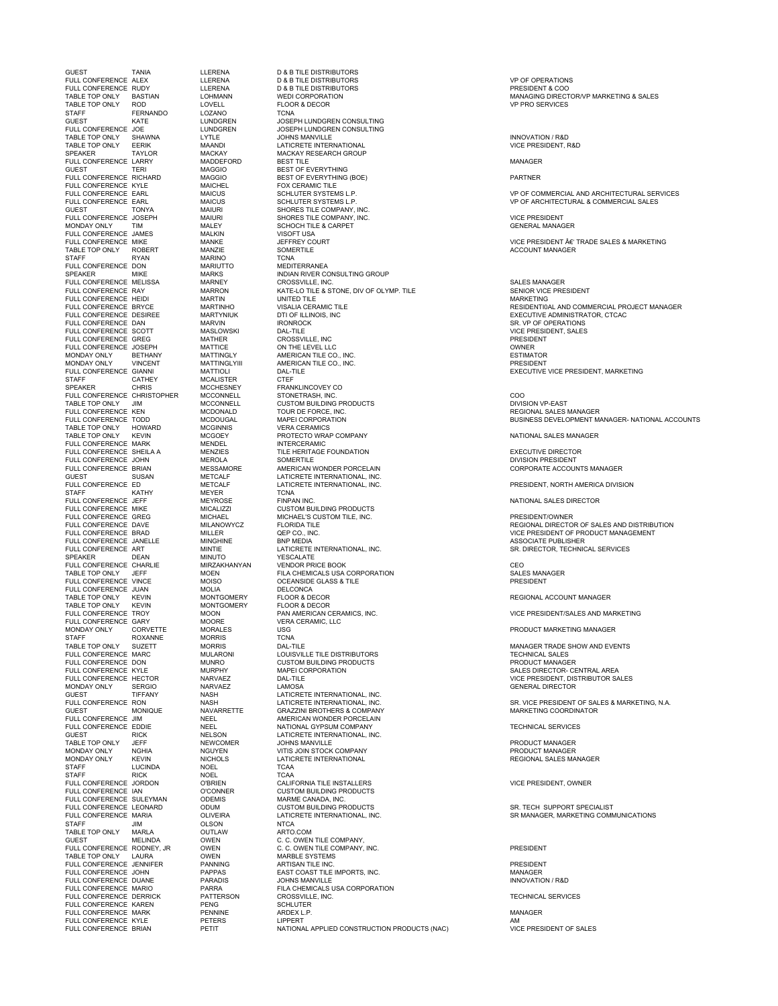GUEST TANIA LLERENA D & B TILE DISTRIBUTORS TABLE TOP ONLY ROD LOVELL FLOOR & DECOR VP PRO SERVICES STAFF FERNANDO LOZANO<br>
GUEST KATE LUNDGREN CURST THE MATE LUNDGREN DEST LUNDGREN UNDER HUNDGREN CONSULTING<br>
GUEST KATE LUNDGREN JOSEPH LUNDGREN CONSULTING<br>
FULL CONFERENCE JOE LUNDGREN JOSEPH LUNDGREN CONSULTING FULL CONFERENCE JOE LUNDGREN JOSEPH LUNDGREN CONSULTING FOR THE TERING THE MAGNET TERING THE CONFERENCE LARRY MACKAY MACKAY MACKAY RESEARCH GROUP<br>
FULL CONFERENCE LARRY MADDEFORD BEST TILE<br>
GUEST TERING MAGGIO BEST OF EVERYTHING<br>
FULL CONFERENCE RYLE MAGGIO BEST OF EVERYTHING ( GUEST TONYA MAIURI SHORES TILE COMPANY, INC. STAFF RYAN MARINO TCNA FULL CONFERENCE DON MARIUTTO MEDITERRANEA FULL CONFERENCE HEIDI MARTIN UNITED TILE MARKETING TABLE TOP ONLY HOWARD MCGINNI<br>TABLE TOP ONLY KEVIN MCGOEY FULL CONFERENCE MARK MENDEL INTERCERAMIC<br>FULL CONFERENCE MARK MENDEL INTERCERAMIC<br>FULL CONFERENCE SHEILA A MENZIES TILE HERITAGE FOUNDATION STAFF EXAMPLE OF BUILDING MEYER TO TONA<br>STAFF KATHY MEYER TCNA TCNA FULL CONFERENCE JEFF MEYROSE FINPAN INC FULL CONFERENCE VIRCULE MICEN MORE TO POLY THE MORE MORE TO DUIT TO THE MORE OF THE CHEMICALS<br>
FULL CONFERENCE VINCE MOISO OCEANSIDE GLAS<br>
FULL CONFERENCE VIAN MONTGOMERY PELOOR & DECOR<br>
TABLE TOP ONLY KEVIN MONTGOMERY FLO FULL CONFERENCE TROY MOON PANA<br>FULL CONFERENCE GARY MOORE VERA CONFERENCE GARY MOORE VERA<br>MONDAY ONLY CORVETTE MORALES USG VERA<br>STAFF ROXANNE MORRIS TCNA FOLLOWING CORVETTE MORALE<br>STAFF ROXANNE MORRIS TABLE TOP ONLY SUZETT MORRIS GUEST TIFFANY NASH LATICRETE INTERNATIONAL, INC.<br>FULL CONFERENCE RON NASH LATICRETE INTERNATIONAL. INC. STAFF LUCINDA NOEL TCAA STAFF RICK NOEL TCAA FULL CONFERENCE SULEYMAN ODEMIS MARME CANADA, INC. STAFF JIM OLSON NTCA TABLE TOP ONLY MARLA OUTLAW<br>GUEST MELINDA OWEN

CATHEY MATHOLISTER<br>CHRIS MCCHESNEY

FULL CONFERENCE ALEX LLERENA D & B TILE DISTRIBUTORS VP OF OPERATIONS FULL CONFERENCE RUDY LLERENA D & B TILE DISTRIBUTORS PRESIDENT & COO TABLE TOP ONLY SHAWNA LYTLE JOHNS MANVILLE INNOVATION / R&D TABLE TOP ONLY EERIK MAANDI LATICRETE INTERNATIONAL VICE PRESIDENT, R&D SPEAKER TAYLOR MACKAY MACKAY RESEARCH GROUP FULL CONFERENCE LARRY MADDEFORD BEST TILE MANAGER FULL CONFERENCE RICHARD MAGGIO BEST OF EVERYTHING (BOE) PARTNER FULL CONFERENCE KYLE MAICHEL FOX CERAMIC TILE FUCCUS TILL COMPANY, INC.<br>SHORES TILE COMPANY, INC.<br>SCHOCH TILE & CARPET MONDAY ONLY TIM MALEY SCHOCH TILE & CARPET GENERAL MANAGER FULL CONFERENCE JAMES MALKIN VISOFT USA TUCL CONFERENCE MIKE MIKE MANKE THE THEORY OURT THE SOURT THE SOURT THE SOURT THE SOURT ON THE SALES & MARKETING<br>TABLE TOP ONLY ROBERT MANY MANZIE SOMERTILE SOMETILE TRADE ACCOUNT MANAGER TABLE TOP ONLY ROBERT ANN MANZIE SOMERTILE ACCOUNT MANAGER ACCOUNT MANAGER AND MANAGER SPEAKER MIKE MARKS INDIAN RIVER CONSULTING GROUP FULL CONFERENCE MELISSA MARNEY CROSSVILLE, INC. SALES MANAGER FULL CONFERENCE RAY MARRON KATE-LO TILE & STONE, DIV OF OLYMP. TILE SENIOR VICE PRESIDENT FULL CONFERENCE DESIREE MARTYNIUK DESIREE DESIREE DESIREE DESIREE DESIREE DESIREE DESIREE DESIREE DESIREE DES<br>
MARTYNIUK DITI OF ILLINOIS, INC EXECUTIVE ADMINISTRATOR, CTCAC<br>
SR. VP OF OPERATIONS FULL CONFERENCE DESIREE MARTYNIUK DTI OF ILLINOIS, INC.<br>
FULL CONFERENCE DESIREE MARVIN IRONROCK BOOT TO INCREDIBLY SR. VP OF OPERATIONS<br>
FULL CONFERENCE SOOTT MASUN DATILE INCREDIENT, SALES<br>
FULL CONFERENCE GREG<br>
MATHER C FULL CONFERENCE SCOTT MASLOWSKI DAL-TILE VICE PRESIDENT, SALES FULL CONFERENCE GREG MATHER CROSSVILLE, INC PRESIDENT FULL CONFERENCE JOSEPH MATTICE ON THE LEVEL LLC OWNER MONDAY ONLY BETHANY MATTINGLY AMERICAN TILE CO., INC. ESTIMATOR MONDAY ONLY VINCENT MATTINGLYIII AMERICAN TILE CO., INC. PRESIDENT FULL CONFERENCE GIANNI MATTIOLI DAL-TILE SUSPENSION CONFERENCE GIANNI MATTIOLI DAL-TILE SUSPENSION RESIDENT, MARKETING<br>STAFF CATHEY MOGUESTRE CREF THE SERVICE PRESIDENT, MARKETING<br>SPEAKER CHRIS MCCHESNEY FRANKLINCOVEY CO SPEAKER CHRIS MCCHESNEY FRANKLINCOVEY CO FULL CONFERENCE CHRISTOPHER MCCONNELL STONETRASH, INC. COO TABLE TOP ONLY JIM MCCONNELL CUSTOM BUILDING PRODUCTS DIVISION VP-EAST FULL CONFERENCE KEN MCDONALD TOUR DE FORCE, INC. REGIONAL SALES MANAGER THE MODONALL DESCRIPTION ON THE SECTOR OF THE SECTOR MANAGER<br>TODD MCDONALL MAPEI CORPORATION<br>HOWARD MCGINNIS MERI CORPORATION THE SECTOR SECTOR BUSINESS DEVELOPMENT MANAGER- NATIONAL ACCOUNTS<br>HOWARD MCGINNIS TABLE TOP ONLY THE TOP ONLY THE ONLY THE ONLY THE ONLY THE ONLY THE ONLY THE ONLY THE ONLY THE ONLY THE ONLY T<br>TABLE TOP ONLY THE ONLY THE ONLY THE ONLY THE ONLY THE ONLY THE ONLY THE ONLY THE ONLY THE ONLY THE ONLY THE O<br> FULL CONFERENCE SHEILA A MENZIES TILE HERITAGE FOUNDATION EXECUTIVE DIRECTOR FULL CONFERENCE JOHN MEROLA SOMERTILE DIVISION PRESIDENT FULL CONFERENCE BRIAN MESSAMORE AMERICAN WONDER PORCELAIN CORPORATE ACCOUNTS MANAGER GUEST SUSAN METCALF LATICRETE INTERNATIONAL, INC. FULL CONFERENCE ED METCALF LATICRETE INTERNATIONAL, INC. PRESIDENT, NORTH AMERICA DIVISION FULL CONFERENCE JEFF MEYROSE FINPAN INC. NATIONAL SALES DIRECTOR FULL CONFERENCE MIKE MICALIZZI CUSTOM BUILDING PRODUCTS FULL CONFERENCE GREG MICHAEL MICHAEL'S CUSTOM TILE, INC. PRESIDENT/OWNER FULL CONFERENCE JANELLE MINGHINE BNP MEDIA ASSOCIATE PUBLISHER MINTIE LATICRETE INTERNATIONAL, INC.<br>MINUTO YESCALATE SPEAKER DEAN MINUTO YESCALATE FULL CONFERENCE CHARLIE MIRZAKHANYAN VENDOR PRICE BOOK CEO TABLE TOP ONLY JEFF MOEN FILA CHEMICALS USA CORPORATION SALES MANAGER FULL CONFERENCE JUAN MOLIA DELCONCA TABLE TOP ONLY KEVIN MONTGOMERY FLOOR & DECOR REGIONAL ACCOUNT MANAGER TABLE TOP ONLY KEVIN MONTGOMERY FLOOR & DECOR MONTISOMERT FUOOR DECOR<br>MOON PAN AMERICAN CERAMICS, INC. THE SERIES OF MOORE TRESIDENT/SALES AND MARKETING<br>MOORE VERA CERAMIC, LLC TABLE TOP ONLY SUZETT MORRIS DAL-TILE MANAGER TRADE SHOW AND EVENTS FULL CONFERENCE MARC MULARONI LOUISVILLE TILE DISTRIBUTORS TECHNICAL SALES FULL CONFERENCE DON MUNRO CUSTOM BUILDING PRODUCTS PRODUCT MANAGER FULL CONFERENCE KYLE MURPHY MAPEI CORPORATION SALES DIRECTOR- CENTRAL AREA FULL CONFERENCE HECTOR NARVAEZ DAL-TILE VICE PRESIDENT, DISTRIBUTOR SALES MONDAY ONLY SERGIO NARVAEZ LAMOSA GENERAL DIRECTOR FULL CONFERENCE RON NASH LATICRETE INTERNATIONAL, INC. SR. VICE PRESIDENT OF SALES & MARKETING, N.A. GUEST MONIQUE NAVARRETTE GRAZZINI BROTHERS & COMPANY MARKETING COORDINATOR FULL CONFERENCE JIM NEEL AMERICAN WONDER PORCELAIN FULL CONFERENCE EDDIE NEEL NATIONAL GYPSUM COMPANY TECHNICAL SERVICES GUEST RICK NELSON LATICRETE INTERNATIONAL, INC. TABLE TOP ONLY GUEFF THE MEWCOMER THE SOLUTION OF A SUMMON SERVICE OF THE SERVICE OF PRODUCT MANAGER MONDAY ONLY NGHIA NGUYEN VITIS JOIN STOCK COMPANY PRODUCT MANAGER<br>MONDAY ONLY NGHIA NGUYEN VITIS JOIN STOCK COMPANY PRODUCT MANAGER<br>MONDAY ONLY KEVIN NICHOLS LATICRETE INTERNATIONAL PREGIONAL REGIONAL RALES M MONDAY ONLY KEVIN NICHOLS LATICRETE INTERNATIONAL REGIONAL SALES MANAGER FULL CONFERENCE JORDON O'BRIEN CALIFORNIA TILE INSTALLERS VICE PRESIDENT, OWNER FULL CONFERENCE IAN O'CONNER CUSTOM BUILDING PRODUCTS TO THE CONFERENCE DELETING TO DUMINIMUM CUSTOM BUILDING PRODUCTS<br>FULL CONFERENCE LEONARD ODUM CUSTOM CUSTOM BUILDING PRODUCTS<br>FULL CONFERENCE MARIA OLIVEIRA LATICRETE INTERNATIONAL, INC. THE SE MANAGER, MARKETING COMM FULL CONFERENCE LEGINIA CONFERENCE CONFERENCE INTERNATIONAL, INC. SOLUTION ON THE CONFERENCE INTERNATIONAL CONFERENCE INTERNATIONAL, INC. SR MANAGER, MARKETING COMMUNICATIONS<br>STAFF IM THE SAN CURSON NTCA UCLOUN MICA<br>OUTLAW C. C. OWEN TILE COMPANY,<br>OWEN C. C. OWEN TILE COMPANY, INC.<br>OWEN MARBLE SYSTEMS FULL CONFERENCE RODNEY, JR OWEN C. C. OWEN TILE COMPANY, INC. PRESIDENT TABLE TOP ONLY LAURA OWEN MARBLE SYSTEMS FULL CONFERENCE JENNIFER PANNING ARTISAN TILE INC. PRESIDENT FULL CONFERENCE JOHN PAPPAS EAST COAST TILE IMPORTS, INC. MANAGER FULL CONFERENCE DUANE PARADIS JOHNS MANVILLE INNOVATION / R&D FULA CHEMICALS USA CORPORATION<br>PATTERSON CROSSVILLE, INC. FULL CONFERENCE DERRICK PATTERSON CROSSVILLE, INC. TECHNICAL SERVICES FULL CONFERENCE KAREN PENG SCHLUTER FULL CONFERENCE MARK PENNINE ARDEX L.P. MANAGER FULL CONFERENCE KYLE PETERS LIPPERT AM NATIONAL APPLIED CONSTRUCTION PRODUCTS (NAC)

TABLE TOP ONLY BASTIAN LOHMANN WEDI CORPORATION (NOTICLE SERVICES) MANAGING DIRECTOR/VP MARKETING & SALES<br>TABLE TOP ONLY ROD LOVELL FLOOR & DECORNET FLOOR OF A SALES OF PRO SERVICES (NOTICLES)

FULL CONFERENCE EARL MAICUS SCHLUTER SYSTEMS L.P. VP OF COMMERCIAL AND ARCHITECTURAL SERVICES FULL CONFERENCE EARL MAICUS SCHLUTER SYSTEMS L.P. VP OF ARCHITECTURAL & COMMERCIAL SALES

FULL CONFERENCE BRYCE MARTINHO VISALIA CERAMIC TILE RESIDENTI0AL AND COMMERCIAL PROJECT MANAGER

FULL CONFERENCE DAVE MILANOWYCZ FLORIDA TILE REGIONAL DIRECTOR OF SALES AND DISTRIBUTION MILLER FULL CONFERENCE BRAD MILLER CONFERENCE AND CONFERENCE AND CONFERENCE OF PRODUCT MANAGEMENT OF PRODUCT MANAGEMENT AND ONLY A SSOCIATE PUBLISHER ASSOCIATE PUBLISHER

PRODUCT MARKETING MANAGER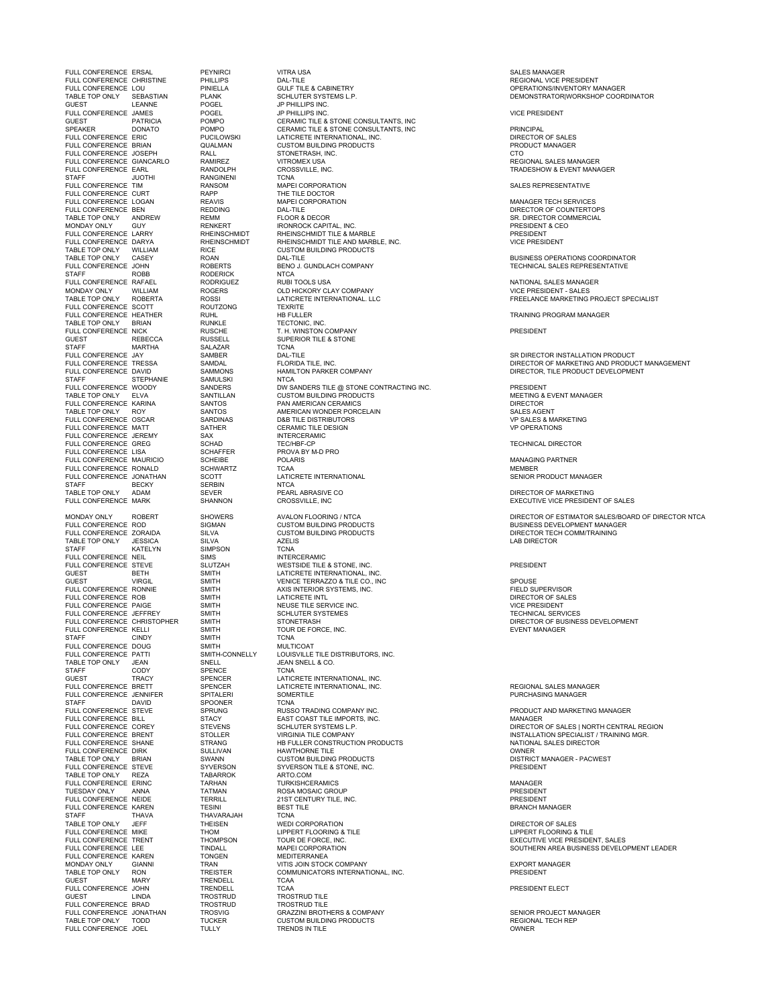FULL CONFERENCE ERSAL PEYNIRCI VITRA USA SALES MANAGER FULL CONFERENCE CHRISTINE PHILLIPS DAL-TILE REGIONAL VICE PRESIDENT GUEST LEANNE POGEL JP PHILLIPS INC.<br>FIJIT CONFERENCE JAMES POGEL DE JP PHILLIPS INC. TABLE TOP ONLY WILLIAM RICE CUSTOM BUILDING PRODUCTS<br>TABLE TOP ONLY CASEY ROAN TADAN DAL-TILE<br>FULL CONFERENCE JOHN ROBERTS BENO J. GUNDLACH COMPANY MONDAY ONLY WILLIAM ROGERS OLD HICKORY CLAY COMPANY TABLE TOP ONLY ROBERTA ROSSI LATICRETE INTERNATIONAL. LLC FULL CONFERENCE SCOTT ROUTZONG TEXRITE FULL CONFERENCE NICK RUSCHE T. H. WINSTON COMPANY<br>GUEST REBECCA RUSSELL SUPERIOR TILE & STONE<br>STAFF MARTHA SAI AZAR TCNA STAFF MARTIN SAMBER<br>
SAMBER DAL-TILE<br>
FULL CONFERENCE TRESSA<br>
SAMMONS HAMILTO<br>
SAMMONS HAMILTO STAFF STEPHANIE SAMULSKI FULL CONFERENCE JEREMY SAX SANTIFICERAMIC JEREMY SAX INTERCERAN<br>FULL CONFERENCE JEREMY SAX SCHAD TEC/HBF-CP FULL CONFERENCE JONATHAN STAFF BECKY SERBIN NTCA NEWSTAFF BECKY SERBIN<br>TABLE TOP ONLY ADAM SEVER PEARLABRASIVE CONFERENCE MARK SHANNON CROSSVILLE, INC TABLE TOP ONLY JESSICA SILVA AZELIS LAB DIRECTOR STAFF KATELYN SIMPSON TCNA FULL CONFERENCE NEIL SIMS INTERCERAMIC FULL CONFERENCE PAIGE SMITH NEUSE TILE SERVICE I<br>
FULL CONFERENCE JEFFREY SMITH SCHLUTER SYSTEMES FULL CONFERENCE THREE SMITH THE STATE STATES THE STATE STATE STATE STATES THAT STATE STATES THE STATE STATE ST<br>
FULL CONFERENCE CHRISTOPHER SMITH STONETRASH FULL CONFERENCE KELLI SMITH STAFF CINDY SMITH STAFF CINDY SMITH TCNA FULL CONFERENCE DOUG SMITH MULTICOAT SMITH MULTICOAT SMITH-CONNELLY LOUISVILLE TABLE TOP ONLY JEAN SNELL SINELL DEAN SNELL & CO.<br>STAFF CODY SPENCE TCNA STAFF CODY SPENCE<br>
GODY SPENCE<br>
GUEST TRACY SPENCER SUCHEN SENDER TRACY SENDER TRACY SPENCER LATICRETE INTERNATIONAL, INC.<br>FULL CONFERENCE BRETT SPENCER LATICRETE INTERNATIONAL. INC. FULL CONFERENCE UNIVERSITY OF THE SPITALERI SOME<br>FULL CONFERENCE JENNIFER SPITALERI SOME<br>STAFF DAVID SPOONER TCNA FULL CONFERENCE STRIVE<br>
FULL CONFERENCE BILL

STACY

STACY TABLE TOP ONLY BRIAN SWANN CUSTOM BUILDING<br>
TABLE TOP ONLY REZA SYVERSON SYVERSON TILE &<br>
TABLE TOP ONLY REZA TABARROK ARTO.COM<br>
TILE CONFERENCE FRINC TARHAN TIIRKISHCERAMICS FULL CONFERENCE KAREN TESINI BEST BEST TESINI BEST BEST THAVARAJAH TCNA STAFF THAVA TO THAVARAJAH TCNA TELEVITEL<br>STAFF THAVA THAVARAJAH TCNA TONA<br>TABLE TOP ONLY JEFF THEISEN WEDI CORPORATION FULL CONFERENCE HEE<br>FULL CONFERENCE KAREN TONGEN<br>MONDAY ONLY GIANNI TRAN GUEST LINDA TROSTRUD TROSTRUD TILE FULL CONFERENCE BRAD TROSTRU<br>FULL CONFERENCE JONATHAN TROSVIG FULL CONFERENCE JOEL

FULL CONFERENCE CHRISTINE PHILLIPS DAL-TILE DATA CONFERENCE CHRISTINE PHILLIPS DAL-TILE A CABINETRY CONFERENCE ON PINIELLA GULF TILE & CABINETRY CONFERENCE ON PINIELLA GULF TILE & CABINETRY CONFERENCE OPERATIONS/INVENTORY TABLE TOP ONLY TABLE TO SCHLUTER SYSTEMS L.P. THE SEARCH ONLY DEMONSTRATOR ON ORDINATOR COORDINATOR SCHLUTER SYSTEMS L.P. DEMONSTRATOR DEMONSTRATOR OORDINATOR COORDINATOR FULL CONFERENCE JAMES POGEL JP PHILLIPS INC. VICE PRESIDENT CERAMIC TILE & STONE CONSULTANTS, INC SPEAKER TOONATO POMPO CERAMIC TILE & STONE CONSULTANTS, INC<br>PULL CONFERENCE ERIC PRINCIPAL PRITERNATIONAL, INC.<br>PULL CONFERENCE BRIAN QUALMAN CUSTOM BUILDING PRODUCTS PRODUCT MANAGER FULL CONFERENCE ERIC PUCILOWSKI LATICRETE INTERNATIONAL, INC. DIRECTOR OF SALES FULL CONFERENCE BRIAN QUALMAN CUSTOM BUILDING PRODUCTS PRODUCT MANAGER FULL CONFERENCE JOSEPH RALL STONETRASH, INC. CTO FULL CONFERENCE GIANCARLO RAMIREZ VITROMEX USA REGIONAL SALES MANAGER FULL CONFERENCE EXPLORATION CONFERENCE EXPLORATION CONFERENCE EXPLORATION CONFERENCE EXPLORATION CONFERENCE EXPLORATION CONFERENCE EXPLORATION CONFERENCE EXPLORATION CONFERENCE EXPLORATION SALES REGIONAL SALES NANAGER RANG STAFF JUOTHI RANGINENI TCNA FULL CONFERENCE TIM RANSOM MAPEI CORPORATION SALES REPRESENTATIVE FULL CONFERENCE CURT RAPP THE TILE DOCTOR FULL CONFERENCE LOGAN REAVIS MAPEI CORPORATION MANAGER TECH SERVICES FULL CONFERENCE BEN REDDING DAL-TILE DIRECTOR OF COUNTERTOPS TABLE TOP ONLY ANDREW REMM FLOOR & DECOR SR. DIRECTOR COMMERCIAL TO THE TRANSL THE TRANSL TO THE TRANSL THE CORRECT THE CORRECT ONLY THE TRANSL THE CORRECT ON THE CORRECT ON T<br>MONDAY ONLY GUY RENKERT THE RIGHT RESIDENT & CEORRECT THE CHAPITAL, INC.<br>PUIL CONFERENCE LARRY RHEINSCHIMIDT RH FULL CONFERENCE LARRY RHEINSCHMIDT RHEINSCHMIDT TILE & MARBLE PRESIDENT FULL CONFERENCE DARYA RHEINSCHMIDT RHEINSCHMIDT TILE AND MARBLE, INC. VICE PRESIDENT TABLE TOP ONLY CASEY ROAN DAL-TILE BUSINESS OPERATIONS COORDINATOR FULL CONFERENCE JOHN ROBERTS BENO J. GUNDLACH COMPANY TECHNICAL SALES REPRESENTATIVE STAFF ROBB RODERICK NTCA FULL CONFERENCE RAFAEL RODRIGUEZ RUBI TOOLS USA NATIONAL SALES MANAGER TABLE TOP ONLY ROBERTA ROSSI LATICRETE INTERNATIONAL. LLC FREELANCE MARKETING PROJECT SPECIALIST FULL CONFERENCE HEATHER RUHL HB FULLER TRAINING PROGRAM MANAGER TABLE TOP ONLY BRIAN RUNKLE TECTONIC, INC. FULL CONFERENCE NICK RUSCHE T. H. WINSTON COMPANY PRESIDENT FULL CONFERENCE JAY SAMBER DAL-TILE SR DIRECTOR INSTALLATION PRODUCT FULL CONFERENCE DAVID SAMMONS HAMILTON PARKER COMPANY HARE DURECTOR, TILE PRODUCT DEVELOPMENT STAFF STAR STARMULT SAMULSKI FULL CONFERENCE WOODY SANDERS DW SANDERS TILE @ STONE CONTRACTING INC. PRESIDENT <br>TABLE TOP ONLY SANTILLAN CUSTOM BUILDING PRODUCTS<br>FULL CONFERENCE KARINA SANTOS PAN AME TABLE TOP ONLY ROY SANTOS AMERICAN WONDER PORCELAIN SALES AGENT FULL CONFERENCE OSCAR SARDINAS D&B TILE DISTRIBUTORS VP SALES & MARKETING FULL CONFERENCE MATT SATHER CERAMIC TILE DESIGN VP OPERATIONS FULL CONFERENCE GREG SCHAD TEC/HBF-CP TECHNICAL DIRECTOR FULL CONFERENCE LISA SCHAFFER PROVA BY M-D PRO FULL CONFERENCE MAURICIO SCHEIBE POLARIS MANAGING PARTNER FULL CONFERENCE RONALD SCHWARTZ TCAA TORA TORA TORA HEMBER MEMBER SENIOR PRODUCT MANAGER<br>FULL CONFERENCE JONATHAN SCOTT LATICRETE INTERNATIONAL FULL CONFERENCE SENIOR PRODUCT MANAGER TABLE TOP ONLY ADAM SEVER SEVER PEARL ABRASIVE CO PEARL ADAM SENSIDENT OF SALES OF MARKETING<br>FULL CONFERENCE MARK SHANNON CROSSVILLE, INC SENSIDENT OF SALES EXECUTIVE VICE PRESIDENT OF SALES FULL CONFERENCE ROD SIGMAN CUSTOM BUILDING PRODUCTS BUSINESS DEVELOPMENT MANAGER FULL CONFERENCE AND LOGITOM BUILDING PRODUCTS AND A CUSTOM BUILDING PRODUCTS AND DIRECTOR TECH COMM/TRAINING<br>TECH COMM/TRAINING AND AZELIS AND AZELIS AND DIRECTOR TECH COMM/TRAINING FULL CONFERENCE NEED END ON THE SUITZAH WESTSIDE TILE & STONE, INC.<br>FULL CONFERENCE STEVE SLUTZAH WESTSIDE TILE & STONE, INC.<br>GUEST BETH SMITH LATICRETE INTERNATIONAL, INC. GUEST BETH SMITH LATICRETE INTERNATIONAL, INC. GUEST VIRGIL SMITH VENICE TERRAZZO & TILE CO., INC SPOUSE FULL CONFERENCE RONNIE SMITH AXIS INTERIOR SYSTEMS, INC. THE LOT THE SUPERVISOR FIELD SUPERVISOR<br>FULL CONFERENCE ROB SMITH LATICRETE INTL FULL CONFERENCE RATE INTERNATION OF STATE IN THE CONFERENCE ROBBIT INTERNATION OF SALES OF SALES OF SALES OF S<br>SMITH LATICRETE INTERNATION OF SALES AND SALES OF SALES OF SALES OF SALES OF SALES OF SALES OF SALES OF SALES FULL CONFERENCE CONFERENCE CHRISTOPHER STONETRASH TECHNICAL SERVICES<br>
SMITH STONETRASH STONETRASH DIRECTOR OF BUSINESS DEVELOPMENT<br>
SMITH TOUR DE FORCE, INC.<br>
SMITH TCNA TOUR DE CORCE. - VOLUSILE THE MANUSIC LOUISVILLE TILE DISTRIBUTORS, INC.<br>FULL CONFERENCE PATTI SMITH-CONNELLY LOUISVILLE TILE DISTRIBUTORS, INC.<br>TABLE TOP ONLY JEAN SNELL SNELL SOON SNELL A CO. FULL CONFERENCE BRETT SPENCER LATICRETE INTERNATIONAL, INC. REGIONAL SALES MANAGER SPRUNG<br>FULL CONFERENCE STEVE STEVER SPRUNG STEVER SPRUNG STADY STEVER STADS AND MANAGER<br>PRODUCT STATE STEVER SPRUNG STEVER STEVER STEVER STEVER STADS ON MANAGER FULL CONFERENCE BILL STACY EAST COAST TILE IMPORTS, INC. MANAGER FULL CONFERENCE SHANE STRANG THE FULLER CONSTRUCTION PRODUCTS THE STRANG SALES DIRECTOR FULL CONFERENCE DIRECTOR<br>
HAWTHORNE TILE CONFERENCE DIRK SULLIVAN HAWTHORNE TILE FULL CONFERENCE DIRK SULLIVAN HAWTHORNE TILE OWNER TABLE TOP ONLY BRIAN SWANN CUSTOM BUILDING PRODUCTS DISTRICT MANAGER - PACWEST FULL CONFERENCE SYVERSON TILE & STONE, INC.<br>TABARROK BYVERSON TILE & STONE, INC.<br>TABARROK ARTO.COM FULL CONFERENCE ERINC TARHAN TURKISHCERAMICS MANAGER TURNSTICERAMICS<br>ROSA MOSAIC GROUP<br>21ST CENTURY TILE, INC. FULL CONFERENCE NEIDE TERRILL CONFIDENT IN THE CONFIDENT ON THE TERRILL CONFERENCE IN THE TERRILL 21ST CENTURY TILE, INC.<br>
FULL CONFERENCE KAREN TESINI BEST TILE PRESIDENT DESIRET ON TESINI BEANCH MANAGER TABLE TOP ONLY GUEFF THEISEN WEDI CORPORATION THEIS ALL SERVICES OF SALES AND RECTOR OF SALES FRUE OF ONE THE RESERVED ON THE CONFERENCE IN THE RESERVED ON THE RESERVED ON THE RESERVED ON THE RESERVED ON <br>FULL CONFERENCE TRENT THOM TOUR DE FORCE, INC.<br>FULL CONFERENCE TRENT THOMPSON TOUR DE FORCE, INC. THOMPSON TOUR DE FORCE, INC.<br>THOMPSON TOUR DE FORCE, INC. EXECUTIVE VICE PRESIDENT, SALES<br>TONGEN MEDITERRANEA MEDITERRANEA MONDAY ONLY GIANNI TRAN VITIS JOIN STOCK COMPANY EXPORT MANAGER TABLE TOP ONLY RON TREISTER COMMUNICATORS INTERNATIONAL, INC. PRESIDENT GUEST MARY TRENDELL TCAA FULL CONFERENCE JOHN TRENDELL TCAA PRESIDENT ELECT " OUT ONFERENCE JONATHAN TROSVIG "THE GRAZZINI BROTHERS & COMPANY THE SENIOR PROJECT MANAGER<br>FULL CONFERENCE JONATHAN TROSVIG GRAZZINI BROTHERS & COMPANY THE SENIOR PROJECT MANAGER<br>TABLE TOP ONLY TODD TUCKER CUSTOM BUILDIN TABLE TOP ONLY TODD TUCKER CUSTOM BUILDING PRODUCTS REGIONAL TECH REP

FURIDAL FURNIDA TILE, INC.<br>FULL CONFERENCE TRESSA SAMES ON THE SAME OF THE PRODUCT MANAGEMENT SAME HAMILTON PARKET COMPANY CONFERENT SAME OF MARKETING AND PRODUCT MANAGEMENT

MONDAY ONLY ROBERT SHOWERS AVALON FLOORING / NTCA DIRECTOR OF ESTIMATOR SALES/BOARD OF DIRECTOR NTCA AND ANNO<br>FULL CONFERENCE ROD SIGNAN CUSTOM BUILDING PRODUCTS FULL CONFERENCES DEVELOPMENT MANAGER<br>FULL CONFERENCE ZORAIDA

FULL CONFERENCE COREY STEVENS SCHLUTER SYSTEMS L.P. DIRECTOR OF SALES | NORTH CENTRAL REGION<br>FULL CONFERENCE BRENT STOLLER VIRGINIA TILE COMPANY INSTALLATION S

FULL CONFERENCE LEE TINDALL MAPEI CORPORATION SOUTHERN AREA BUSINESS DEVELOPMENT LEADER